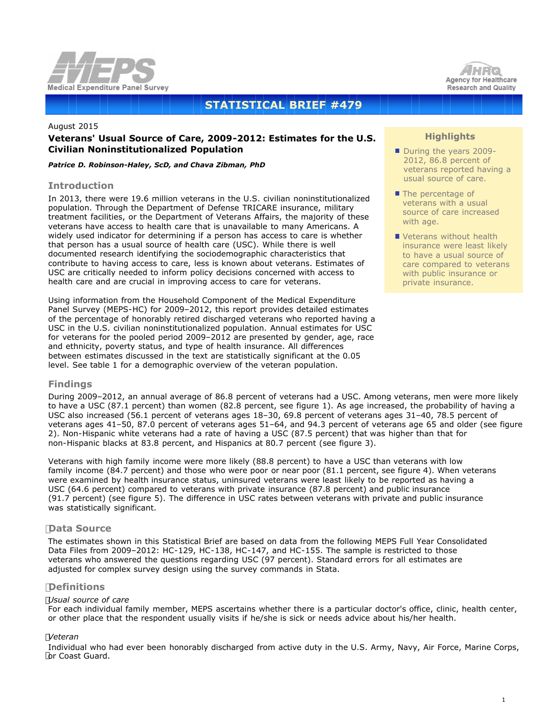





#### August 2015

# **Veterans' Usual Source of Care, 2009-2012: Estimates for the U.S. Civilian Noninstitutionalized Population**

*Patrice D. Robinson-Haley, ScD, and Chava Zibman, PhD*

## **Introduction**

In 2013, there were 19.6 million veterans in the U.S. civilian noninstitutionalized population. Through the Department of Defense TRICARE insurance, military treatment facilities, or the Department of Veterans Affairs, the majority of these veterans have access to health care that is unavailable to many Americans. A widely used indicator for determining if a person has access to care is whether that person has a usual source of health care (USC). While there is well documented research identifying the sociodemographic characteristics that contribute to having access to care, less is known about veterans. Estimates of USC are critically needed to inform policy decisions concerned with access to health care and are crucial in improving access to care for veterans.

Using information from the Household Component of the Medical Expenditure Panel Survey (MEPS-HC) for 2009–2012, this report provides detailed estimates of the percentage of honorably retired discharged veterans who reported having a USC in the U.S. civilian noninstitutionalized population. Annual estimates for USC for veterans for the pooled period 2009–2012 are presented by gender, age, race and ethnicity, poverty status, and type of health insurance. All differences between estimates discussed in the text are statistically significant at the 0.05 level. See table 1 for a demographic overview of the veteran population.

# **Highlights**

- During the years 2009-2012, 86.8 percent of veterans reported having a usual source of care.
- $\blacksquare$  The percentage of veterans with a usual source of care increased with age.
- Veterans without health insurance were least likely to have a usual source of care compared to veterans with public insurance or private insurance.

# **Findings**

During 2009–2012, an annual average of 86.8 percent of veterans had a USC. Among veterans, men were more likely to have a USC (87.1 percent) than women (82.8 percent, see figure 1). As age increased, the probability of having a USC also increased (56.1 percent of veterans ages 18–30, 69.8 percent of veterans ages 31–40, 78.5 percent of veterans ages 41–50, 87.0 percent of veterans ages 51–64, and 94.3 percent of veterans age 65 and older (see figure 2). Non-Hispanic white veterans had a rate of having a USC (87.5 percent) that was higher than that for non-Hispanic blacks at 83.8 percent, and Hispanics at 80.7 percent (see figure 3).

Veterans with high family income were more likely (88.8 percent) to have a USC than veterans with low family income (84.7 percent) and those who were poor or near poor (81.1 percent, see figure 4). When veterans were examined by health insurance status, uninsured veterans were least likely to be reported as having a USC (64.6 percent) compared to veterans with private insurance (87.8 percent) and public insurance (91.7 percent) (see figure 5). The difference in USC rates between veterans with private and public insurance was statistically significant.

## **Data Source**

 The estimates shown in this Statistical Brief are based on data from the following MEPS Full Year Consolidated Data Files from 2009–2012: HC-129, HC-138, HC-147, and HC-155. The sample is restricted to those veterans who answered the questions regarding USC (97 percent). Standard errors for all estimates are adjusted for complex survey design using the survey commands in Stata.

## **Definitions**

## *Usual source of care*

 For each individual family member, MEPS ascertains whether there is a particular doctor's office, clinic, health center, or other place that the respondent usually visits if he/she is sick or needs advice about his/her health.

#### *Veteran*

or Coast Guard. Individual who had ever been honorably discharged from active duty in the U.S. Army, Navy, Air Force, Marine Corps,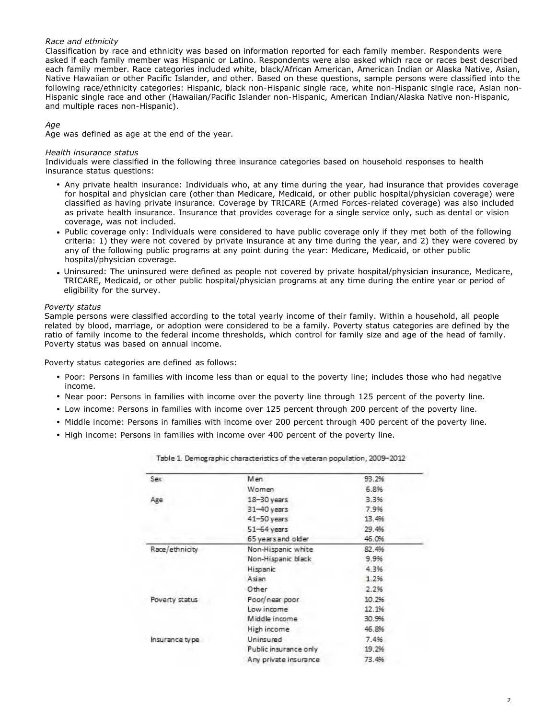## *Race and ethnicity*

Classification by race and ethnicity was based on information reported for each family member. Respondents were asked if each family member was Hispanic or Latino. Respondents were also asked which race or races best described each family member. Race categories included white, black/African American, American Indian or Alaska Native, Asian, Native Hawaiian or other Pacific Islander, and other. Based on these questions, sample persons were classified into the following race/ethnicity categories: Hispanic, black non-Hispanic single race, white non-Hispanic single race, Asian non-Hispanic single race and other (Hawaiian/Pacific Islander non-Hispanic, American Indian/Alaska Native non-Hispanic, and multiple races non-Hispanic).

### *Age*

Age was defined as age at the end of the year.

#### *Health insurance status*

Individuals were classified in the following three insurance categories based on household responses to health insurance status questions:

- Any private health insurance: Individuals who, at any time during the year, had insurance that provides coverage for hospital and physician care (other than Medicare, Medicaid, or other public hospital/physician coverage) were classified as having private insurance. Coverage by TRICARE (Armed Forces-related coverage) was also included as private health insurance. Insurance that provides coverage for a single service only, such as dental or vision coverage, was not included.
- Public coverage only: Individuals were considered to have public coverage only if they met both of the following criteria: 1) they were not covered by private insurance at any time during the year, and 2) they were covered by any of the following public programs at any point during the year: Medicare, Medicaid, or other public hospital/physician coverage.
- Uninsured: The uninsured were defined as people not covered by private hospital/physician insurance, Medicare, TRICARE, Medicaid, or other public hospital/physician programs at any time during the entire year or period of eligibility for the survey.

### *Poverty status*

Sample persons were classified according to the total yearly income of their family. Within a household, all people related by blood, marriage, or adoption were considered to be a family. Poverty status categories are defined by the ratio of family income to the federal income thresholds, which control for family size and age of the head of family. Poverty status was based on annual income.

Poverty status categories are defined as follows:

- Poor: Persons in families with income less than or equal to the poverty line; includes those who had negative income.
- Near poor: Persons in families with income over the poverty line through 125 percent of the poverty line.
- Low income: Persons in families with income over 125 percent through 200 percent of the poverty line.
- Middle income: Persons in families with income over 200 percent through 400 percent of the poverty line.
- High income: Persons in families with income over 400 percent of the poverty line.

| Sex            | Men                   | 93.2% |
|----------------|-----------------------|-------|
|                | Women                 | 6.8%  |
| Age            | $18 - 30$ years       | 3.3%  |
|                | 31-40 years           | 7.9%  |
|                | $41 - 50$ years       | 13.4% |
|                | $51 - 64$ years       | 29.4% |
|                | 65 years and older    | 46.0% |
| Race/ethnicity | Non-Hispanic white    | 82.4% |
|                | Non-Hispanic black    | 9.9%  |
|                | Hispanic              | 4.3%  |
|                | Asian                 | 1.2%  |
|                | Other                 | 2.2%  |
| Poverty status | Poor/near poor        | 10.2% |
|                | Low income            | 12.1% |
|                | Middle income         | 30.9% |
|                | High income           | 46.8% |
| Insurance type | Uninsured             | 7.4%  |
|                | Public insurance only | 19.2% |
|                | Any private insurance | 73.4% |

Table 1. Demographic characteristics of the veteran population, 2009-2012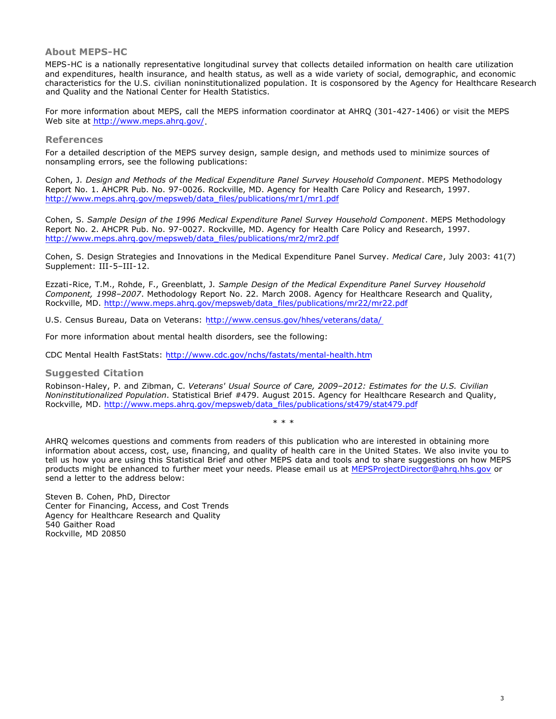**About MEPS-HC**

MEPS-HC is a nationally representative longitudinal survey that collects detailed information on health care utilization and expenditures, health insurance, and health status, as well as a wide variety of social, demographic, and economic characteristics for the U.S. civilian noninstitutionalized population. It is cosponsored by the Agency for Healthcare Research and Quality and the National Center for Health Statistics.

For more information about MEPS, call the MEPS information coordinator at AHRQ (301-427-1406) or visit the MEPS Web site at [http://www.meps.ahrq.gov/.](http://www.meps.ahrq.gov/)

### **References**

For a detailed description of the MEPS survey design, sample design, and methods used to minimize sources of nonsampling errors, see the following publications:

Cohen, J. *Design and Methods of the Medical Expenditure Panel Survey Household Component*. MEPS Methodology Report No. 1. AHCPR Pub. No. 97-0026. Rockville, MD. Agency for Health Care Policy and Research, 1997. [http://www.meps.ahrq.gov/mepsweb/data\\_files/publications/mr1/mr1.pdf](http://www.meps.ahrq.gov/mepsweb/data_files/publications/mr1/mr1.pdf)

Cohen, S. *Sample Design of the 1996 Medical Expenditure Panel Survey Household Component*. MEPS Methodology Report No. 2. AHCPR Pub. No. 97-0027. Rockville, MD. Agency for Health Care Policy and Research, 1997. [http://www.meps.ahrq.gov/mepsweb/data\\_files/publications/mr2/mr2.pdf](http://www.meps.ahrq.gov/mepsweb/data_files/publications/mr2/mr2.pdf)

Cohen, S. Design Strategies and Innovations in the Medical Expenditure Panel Survey. *Medical Care*, July 2003: 41(7) Supplement: III-5–III-12.

Ezzati-Rice, T.M., Rohde, F., Greenblatt, J. *Sample Design of the Medical Expenditure Panel Survey Household Component, 1998–2007*. Methodology Report No. 22. March 2008. Agency for Healthcare Research and Quality, Rockville, MD. [http://www.meps.ahrq.gov/mepsweb/data\\_files/publications/mr22/mr22.pdf](http://www.meps.ahrq.gov/mepsweb/data_files/publications/mr22/mr22.pdf)

U.S. Census Bureau, Data on Veterans: [http://www.census.gov/hhes/veterans/da](http://www.census.gov/hhes/veterans/data/)ta/

For more information about mental health disorders, see the following:

CDC Mental Health FastStats:<http://www.cdc.gov/nchs/fastats/mental-health.htm>

## **Suggested Citation**

Robinson-Haley, P. and Zibman, C. *Veterans' Usual Source of Care, 2009–2012: Estimates for the U.S. Civilian Noninstitutionalized Population*. Statistical Brief #479. August 2015. Agency for Healthcare Research and Quality, Rockville, MD. [http://www.meps.ahrq.gov/mepsweb/data\\_files/publications/st479/stat479.pdf](http://www.meps.ahrq.gov/mepsweb/data_files/publications/st479/stat479.pdf)

\* \* \*

AHRQ welcomes questions and comments from readers of this publication who are interested in obtaining more information about access, cost, use, financing, and quality of health care in the United States. We also invite you to tell us how you are using this Statistical Brief and other MEPS data and tools and to share suggestions on how MEPS products might be enhanced to further meet your needs. Please email us a[t MEPSProjectDirector@ahrq.hhs.gov](mailto:MEPSProjectDirector@ahrq.hhs.gov) or send a letter to the address below:

Steven B. Cohen, PhD, Director Center for Financing, Access, and Cost Trends Agency for Healthcare Research and Quality 540 Gaither Road Rockville, MD 20850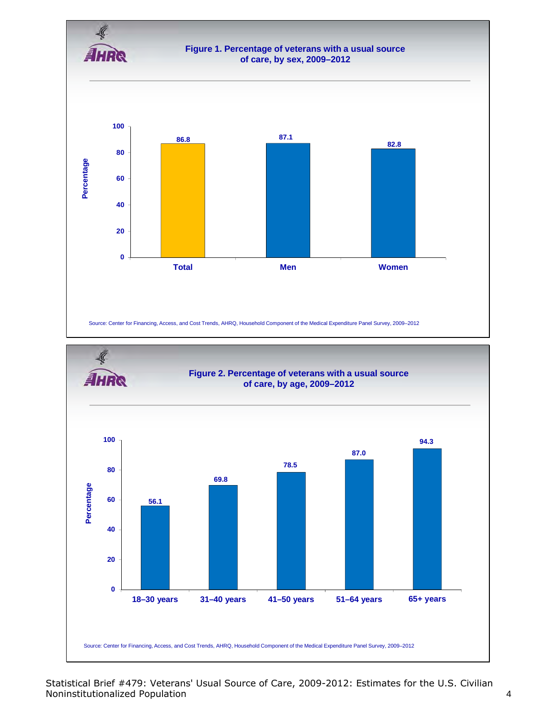

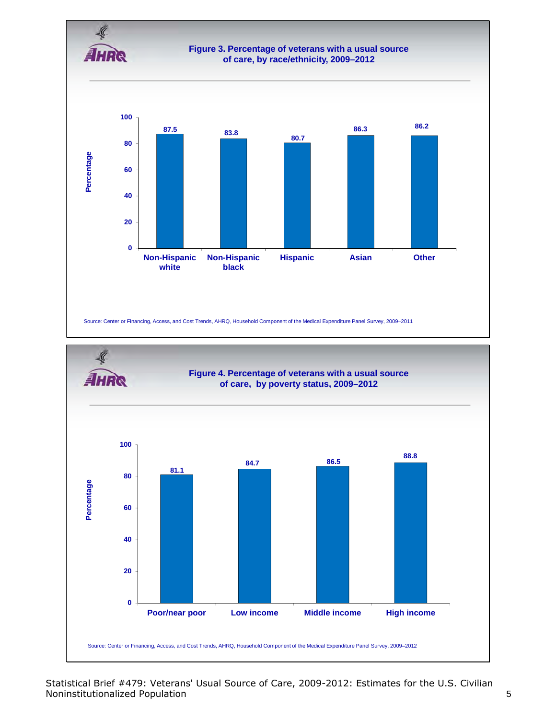